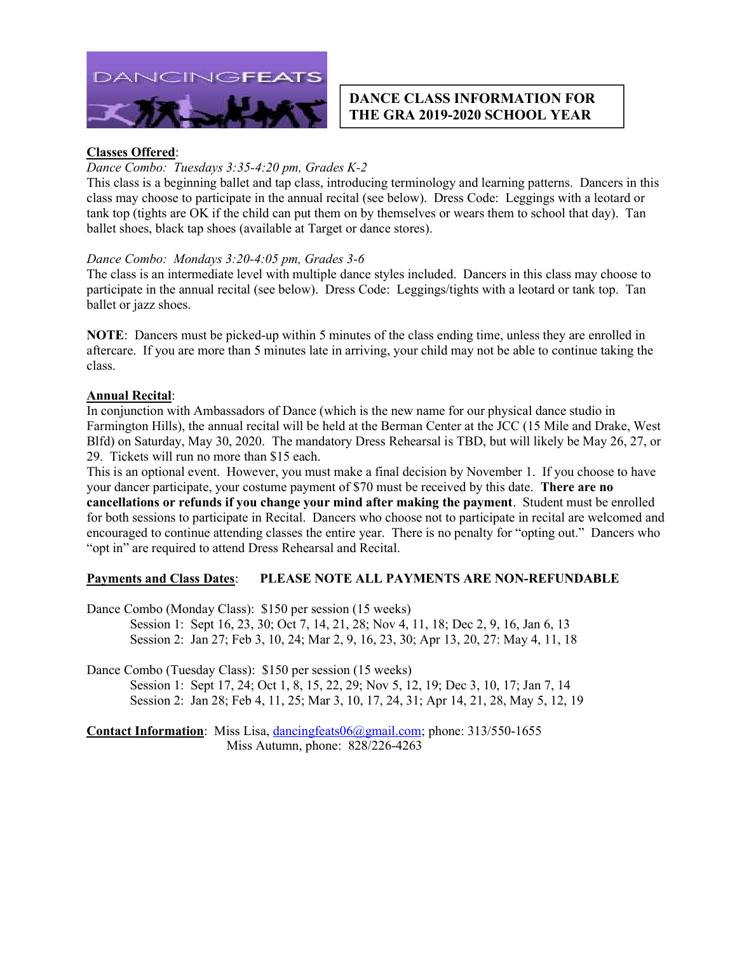

## DANCE CLASS INFORMATION FOR THE GRA 2019-2020 SCHOOL YEAR

### Classes Offered:

#### Dance Combo: Tuesdays 3:35-4:20 pm, Grades K-2

This class is a beginning ballet and tap class, introducing terminology and learning patterns. Dancers in this class may choose to participate in the annual recital (see below). Dress Code: Leggings with a leotard or tank top (tights are OK if the child can put them on by themselves or wears them to school that day). Tan ballet shoes, black tap shoes (available at Target or dance stores).

#### Dance Combo: Mondays 3:20-4:05 pm, Grades 3-6

The class is an intermediate level with multiple dance styles included. Dancers in this class may choose to participate in the annual recital (see below). Dress Code: Leggings/tights with a leotard or tank top. Tan ballet or jazz shoes.

NOTE: Dancers must be picked-up within 5 minutes of the class ending time, unless they are enrolled in aftercare. If you are more than 5 minutes late in arriving, your child may not be able to continue taking the class.

#### Annual Recital:

In conjunction with Ambassadors of Dance (which is the new name for our physical dance studio in Farmington Hills), the annual recital will be held at the Berman Center at the JCC (15 Mile and Drake, West Blfd) on Saturday, May 30, 2020. The mandatory Dress Rehearsal is TBD, but will likely be May 26, 27, or 29. Tickets will run no more than \$15 each.

This is an optional event. However, you must make a final decision by November 1. If you choose to have your dancer participate, your costume payment of \$70 must be received by this date. There are no cancellations or refunds if you change your mind after making the payment. Student must be enrolled for both sessions to participate in Recital. Dancers who choose not to participate in recital are welcomed and encouraged to continue attending classes the entire year. There is no penalty for "opting out." Dancers who "opt in" are required to attend Dress Rehearsal and Recital.

#### Payments and Class Dates: PLEASE NOTE ALL PAYMENTS ARE NON-REFUNDABLE

Dance Combo (Monday Class): \$150 per session (15 weeks)

Session 1: Sept 16, 23, 30; Oct 7, 14, 21, 28; Nov 4, 11, 18; Dec 2, 9, 16, Jan 6, 13 Session 2: Jan 27; Feb 3, 10, 24; Mar 2, 9, 16, 23, 30; Apr 13, 20, 27: May 4, 11, 18

Dance Combo (Tuesday Class): \$150 per session (15 weeks) Session 1: Sept 17, 24; Oct 1, 8, 15, 22, 29; Nov 5, 12, 19; Dec 3, 10, 17; Jan 7, 14 Session 2: Jan 28; Feb 4, 11, 25; Mar 3, 10, 17, 24, 31; Apr 14, 21, 28, May 5, 12, 19

Contact Information: Miss Lisa, dancingfeats06@gmail.com; phone: 313/550-1655 Miss Autumn, phone: 828/226-4263